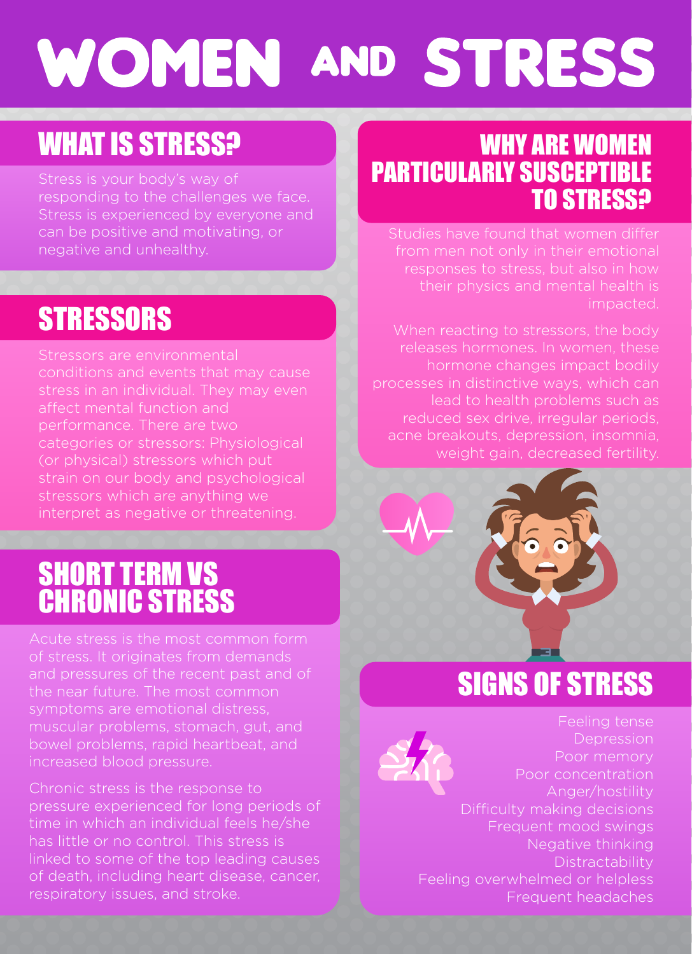# **WOMEN AND STRESS**

### WHAT IS STRESS?

Stress is experienced by everyone and can be positive and motivating, or negative and unhealthy.

### **STRESSORS**

conditions and events that may cause stress in an individual. They may even performance. There are two categories or stressors: Physiological (or physical) stressors which put strain on our body and psychological stressors which are anything we interpret as negative or threatening.

### SHORT TERM VS CHRONIC STRESS

of stress. It originates from demands and pressures of the recent past and of symptoms are emotional distress, muscular problems, stomach, gut, and increased blood pressure.

Chronic stress is the response to pressure experienced for long periods of time in which an individual feels he/she has little or no control. This stress is linked to some of the top leading causes of death, including heart disease, cancer, respiratory issues, and stroke.

### WHY ARE WOMEN PARTICULARLY SUSCEPTIBLE TO STRESS?

impacted.

When reacting to stressors, the body releases hormones. In women, these hormone changes impact bodily lead to health problems such as reduced sex drive, irregular periods, acne breakouts, depression, insomnia, weight gain, decreased fertility.



### SIGNS OF STRESS

Depression Poor memory Poor concentration Anger/hostility Difficulty making decisions Frequent mood swings Negative thinking Distractability Feeling overwhelmed or helpless Frequent headaches